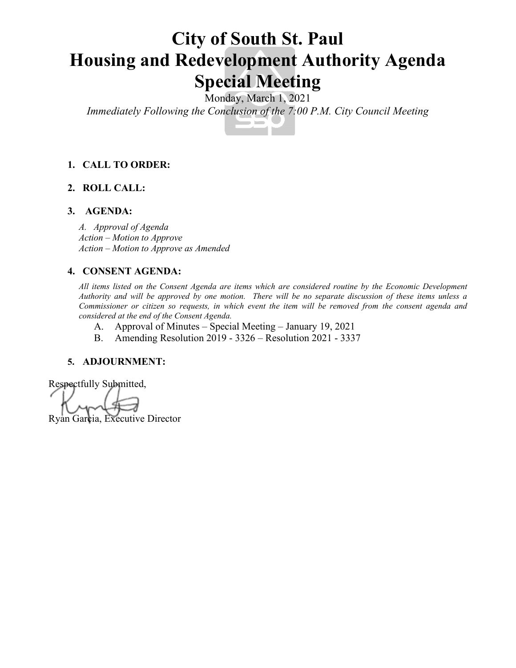# **City of South St. Paul Housing and Redevelopment Authority Agenda Special Meeting**

Monday, March 1, 2021

*Immediately Following the Conclusion of the 7:00 P.M. City Council Meeting*

## **1. CALL TO ORDER:**

# **2. ROLL CALL:**

#### **3. AGENDA:**

*A. Approval of Agenda Action – Motion to Approve Action – Motion to Approve as Amended*

#### **4. CONSENT AGENDA:**

*All items listed on the Consent Agenda are items which are considered routine by the Economic Development Authority and will be approved by one motion. There will be no separate discussion of these items unless a Commissioner or citizen so requests, in which event the item will be removed from the consent agenda and considered at the end of the Consent Agenda.*

- A. Approval of Minutes Special Meeting January 19, 2021
- B. Amending Resolution 2019 3326 Resolution 2021 3337

#### **5. ADJOURNMENT:**

Respectfully Submitted, Ryan Garcia, Executive Director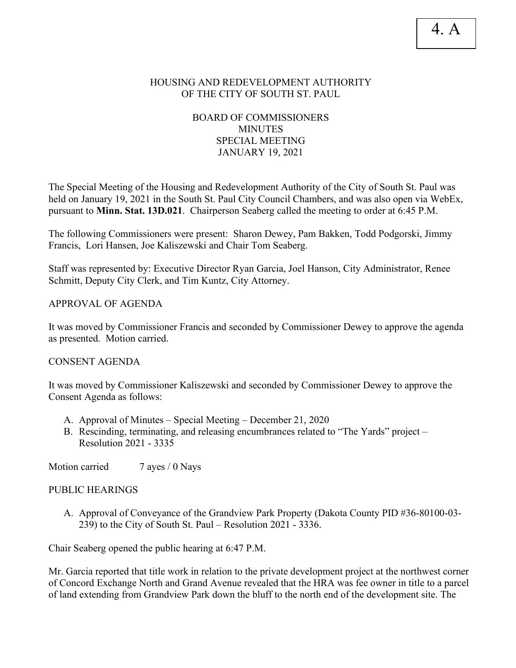#### HOUSING AND REDEVELOPMENT AUTHORITY OF THE CITY OF SOUTH ST. PAUL

# BOARD OF COMMISSIONERS MINUTES SPECIAL MEETING JANUARY 19, 2021

The Special Meeting of the Housing and Redevelopment Authority of the City of South St. Paul was held on January 19, 2021 in the South St. Paul City Council Chambers, and was also open via WebEx, pursuant to **Minn. Stat. 13D.021**. Chairperson Seaberg called the meeting to order at 6:45 P.M.

The following Commissioners were present: Sharon Dewey, Pam Bakken, Todd Podgorski, Jimmy Francis, Lori Hansen, Joe Kaliszewski and Chair Tom Seaberg.

Staff was represented by: Executive Director Ryan Garcia, Joel Hanson, City Administrator, Renee Schmitt, Deputy City Clerk, and Tim Kuntz, City Attorney.

APPROVAL OF AGENDA

It was moved by Commissioner Francis and seconded by Commissioner Dewey to approve the agenda as presented. Motion carried.

CONSENT AGENDA

It was moved by Commissioner Kaliszewski and seconded by Commissioner Dewey to approve the Consent Agenda as follows:

- A. Approval of Minutes Special Meeting December 21, 2020
- B. Rescinding, terminating, and releasing encumbrances related to "The Yards" project Resolution 2021 - 3335

Motion carried 7 ayes / 0 Nays

#### PUBLIC HEARINGS

A. Approval of Conveyance of the Grandview Park Property (Dakota County PID #36-80100-03- 239) to the City of South St. Paul – Resolution 2021 - 3336.

Chair Seaberg opened the public hearing at 6:47 P.M.

Mr. Garcia reported that title work in relation to the private development project at the northwest corner of Concord Exchange North and Grand Avenue revealed that the HRA was fee owner in title to a parcel of land extending from Grandview Park down the bluff to the north end of the development site. The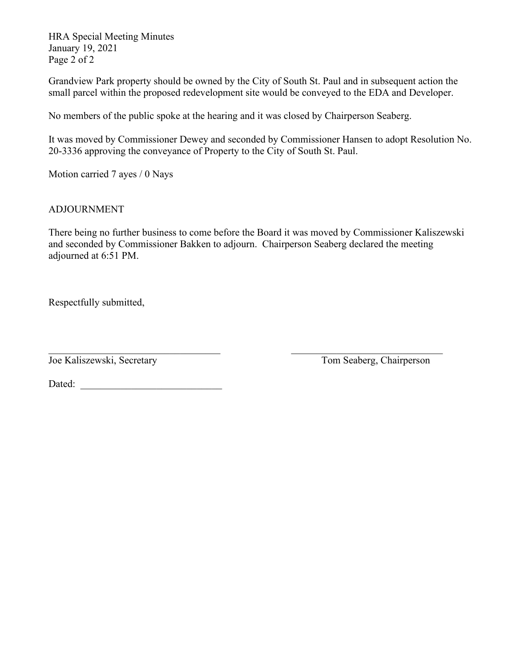HRA Special Meeting Minutes January 19, 2021 Page 2 of 2

Grandview Park property should be owned by the City of South St. Paul and in subsequent action the small parcel within the proposed redevelopment site would be conveyed to the EDA and Developer.

No members of the public spoke at the hearing and it was closed by Chairperson Seaberg.

It was moved by Commissioner Dewey and seconded by Commissioner Hansen to adopt Resolution No. 20-3336 approving the conveyance of Property to the City of South St. Paul.

Motion carried 7 ayes / 0 Nays

# ADJOURNMENT

There being no further business to come before the Board it was moved by Commissioner Kaliszewski and seconded by Commissioner Bakken to adjourn. Chairperson Seaberg declared the meeting adjourned at 6:51 PM.

Respectfully submitted,

Joe Kaliszewski, Secretary Tom Seaberg, Chairperson

Dated: \_\_\_\_\_\_\_\_\_\_\_\_\_\_\_\_\_\_\_\_\_\_\_\_\_\_\_\_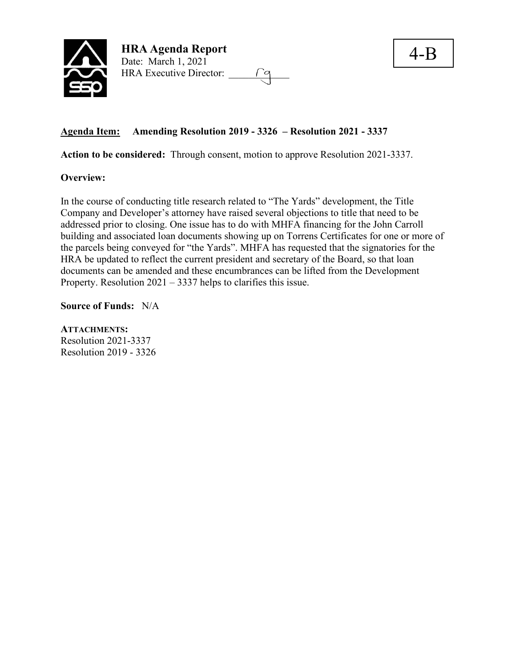

# **Agenda Item: Amending Resolution 2019 - 3326 – Resolution 2021 - 3337**

**Action to be considered:** Through consent, motion to approve Resolution 2021-3337.

#### **Overview:**

In the course of conducting title research related to "The Yards" development, the Title Company and Developer's attorney have raised several objections to title that need to be addressed prior to closing. One issue has to do with MHFA financing for the John Carroll building and associated loan documents showing up on Torrens Certificates for one or more of the parcels being conveyed for "the Yards". MHFA has requested that the signatories for the HRA be updated to reflect the current president and secretary of the Board, so that loan documents can be amended and these encumbrances can be lifted from the Development Property. Resolution 2021 – 3337 helps to clarifies this issue.

**Source of Funds:** N/A

**ATTACHMENTS:** Resolution 2021-3337 Resolution 2019 - 3326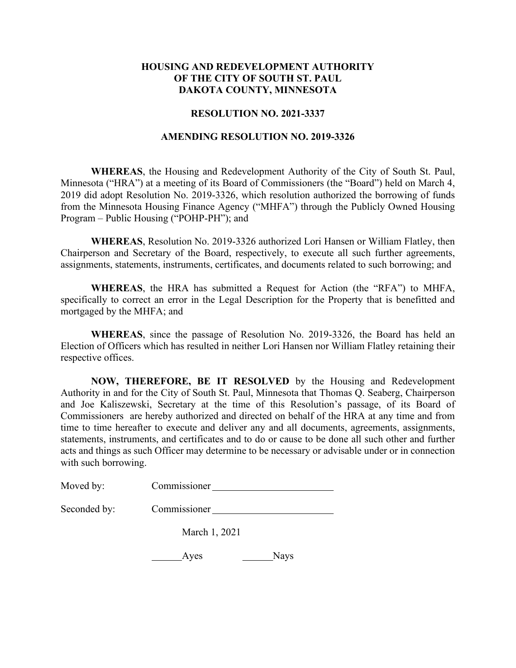#### **HOUSING AND REDEVELOPMENT AUTHORITY OF THE CITY OF SOUTH ST. PAUL DAKOTA COUNTY, MINNESOTA**

#### **RESOLUTION NO. 2021-3337**

#### **AMENDING RESOLUTION NO. 2019-3326**

**WHEREAS**, the Housing and Redevelopment Authority of the City of South St. Paul, Minnesota ("HRA") at a meeting of its Board of Commissioners (the "Board") held on March 4, 2019 did adopt Resolution No. 2019-3326, which resolution authorized the borrowing of funds from the Minnesota Housing Finance Agency ("MHFA") through the Publicly Owned Housing Program – Public Housing ("POHP-PH"); and

**WHEREAS**, Resolution No. 2019-3326 authorized Lori Hansen or William Flatley, then Chairperson and Secretary of the Board, respectively, to execute all such further agreements, assignments, statements, instruments, certificates, and documents related to such borrowing; and

**WHEREAS**, the HRA has submitted a Request for Action (the "RFA") to MHFA, specifically to correct an error in the Legal Description for the Property that is benefitted and mortgaged by the MHFA; and

**WHEREAS**, since the passage of Resolution No. 2019-3326, the Board has held an Election of Officers which has resulted in neither Lori Hansen nor William Flatley retaining their respective offices.

**NOW, THEREFORE, BE IT RESOLVED** by the Housing and Redevelopment Authority in and for the City of South St. Paul, Minnesota that Thomas Q. Seaberg, Chairperson and Joe Kaliszewski, Secretary at the time of this Resolution's passage, of its Board of Commissioners are hereby authorized and directed on behalf of the HRA at any time and from time to time hereafter to execute and deliver any and all documents, agreements, assignments, statements, instruments, and certificates and to do or cause to be done all such other and further acts and things as such Officer may determine to be necessary or advisable under or in connection with such borrowing.

| Moved by:    | Commissioner  |
|--------------|---------------|
| Seconded by: | Commissioner  |
|              | March 1, 2021 |

| Aves<br>Г | <b>Nays</b> |
|-----------|-------------|
|-----------|-------------|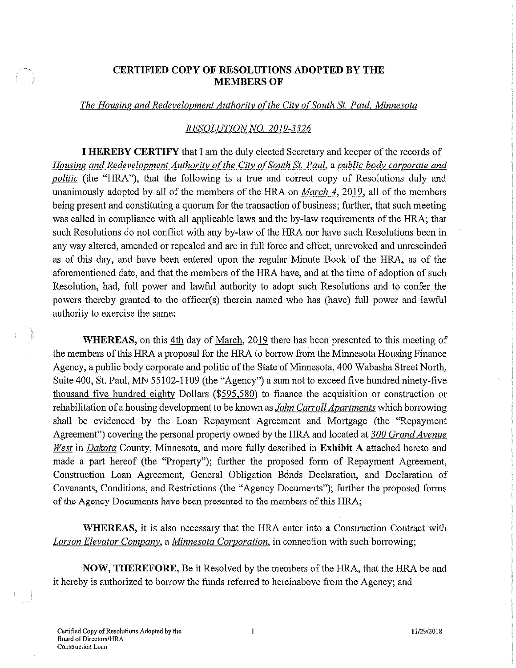#### **CERTIFIED COPY OF RESOLUTIONS ADOPTED BY THE MEMBERS OF**

#### The Housing and Redevelopment Authority of the City of South St. Paul, Minnesota

#### RESOLUTION NO. 2019-3326

**I HEREBY CERTIFY** that I am the duly elected Secretary and keeper of the records of Housing and Redevelopment Authority of the City of South St. Paul, a public body corporate and *politic* (the "HRA"), that the following is a true and correct copy of Resolutions duly and unanimously adopted by all of the members of the HRA on *March 4*, 2019, all of the members being present and constituting a quorum for the transaction of business; further, that such meeting was called in compliance with all applicable laws and the by-law requirements of the HRA; that such Resolutions do not conflict with any by-law of the HRA nor have such Resolutions been in any way altered, amended or repealed and are in full force and effect, unrevoked and unrescinded as of this day, and have been entered upon the regular Minute Book of the HRA, as of the aforementioned date, and that the members of the HRA have, and at the time of adoption of such Resolution, had, full power and lawful authority to adopt such Resolutions and to confer the powers thereby granted to the officer(s) therein named who has (have) full power and lawful authority to exercise the same:

WHEREAS, on this 4th day of March, 2019 there has been presented to this meeting of the members of this HRA a proposal for the HRA to borrow from the Minnesota Housing Finance Agency, a public body corporate and politic of the State of Minnesota, 400 Wabasha Street North, Suite 400, St. Paul, MN 55102-1109 (the "Agency") a sum not to exceed five hundred ninety-five thousand five hundred eighty Dollars (\$595,580) to finance the acquisition or construction or rehabilitation of a housing development to be known as *John Carroll Apartments* which borrowing shall be evidenced by the Loan Repayment Agreement and Mortgage (the "Repayment Agreement") covering the personal property owned by the HRA and located at 300 Grand Avenue West in Dakota County, Minnesota, and more fully described in Exhibit A attached hereto and made a part hereof (the "Property"); further the proposed form of Repayment Agreement, Construction Loan Agreement, General Obligation Bonds Declaration, and Declaration of Covenants, Conditions, and Restrictions (the "Agency Documents"); further the proposed forms of the Agency Documents have been presented to the members of this HRA;

WHEREAS, it is also necessary that the HRA enter into a Construction Contract with Larson Elevator Company, a Minnesota Corporation, in connection with such borrowing;

NOW, THEREFORE, Be it Resolved by the members of the HRA, that the HRA be and it hereby is authorized to borrow the funds referred to hereinabove from the Agency; and

11/29/2018

 $\mathbf{I}$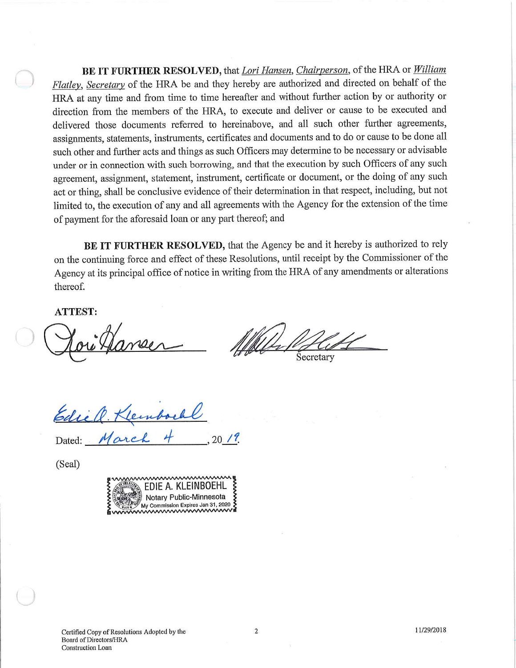BE IT FURTHER RESOLVED, that Lori Hansen, Chairperson, of the HRA or William Flatley, Secretary of the HRA be and they hereby are authorized and directed on behalf of the HRA at any time and from time to time hereafter and without further action by or authority or direction from the members of the HRA, to execute and deliver or cause to be executed and delivered those documents referred to hereinabove, and all such other further agreements, assignments, statements, instruments, certificates and documents and to do or cause to be done all such other and further acts and things as such Officers may determine to be necessary or advisable under or in connection with such borrowing, and that the execution by such Officers of any such agreement, assignment, statement, instrument, certificate or document, or the doing of any such act or thing, shall be conclusive evidence of their determination in that respect, including, but not limited to, the execution of any and all agreements with the Agency for the extension of the time of payment for the aforesaid loan or any part thereof; and

BE IT FURTHER RESOLVED, that the Agency be and it hereby is authorized to rely on the continuing force and effect of these Resolutions, until receipt by the Commissioner of the Agency at its principal office of notice in writing from the HRA of any amendments or alterations thereof.

 $20/7$ 

**ATTEST:** 

Secretary

Edic Q. Kle

Marc

Dated:

(Seal)